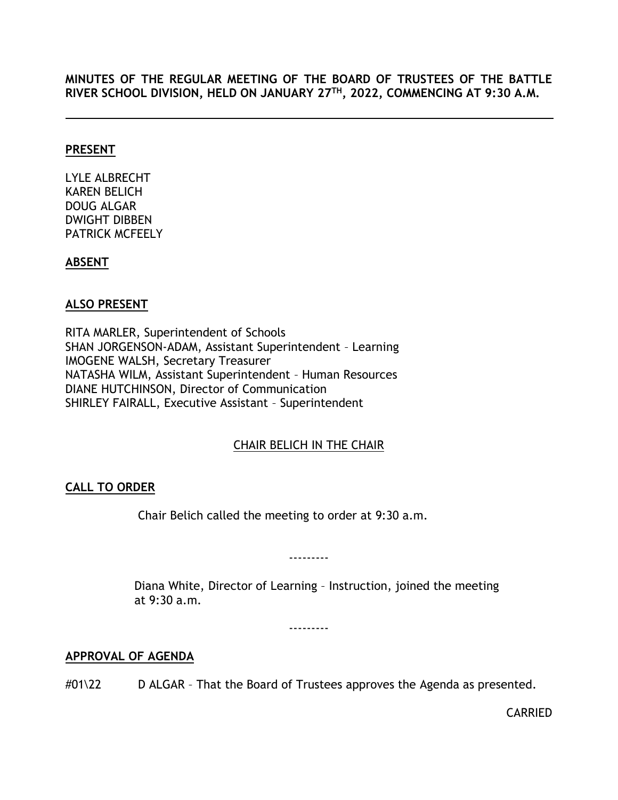## **MINUTES OF THE REGULAR MEETING OF THE BOARD OF TRUSTEES OF THE BATTLE RIVER SCHOOL DIVISION, HELD ON JANUARY 27TH, 2022, COMMENCING AT 9:30 A.M.**

### **PRESENT**

LYLE ALBRECHT KAREN BELICH DOUG ALGAR DWIGHT DIBBEN PATRICK MCFEELY

## **ABSENT**

## **ALSO PRESENT**

RITA MARLER, Superintendent of Schools SHAN JORGENSON-ADAM, Assistant Superintendent – Learning IMOGENE WALSH, Secretary Treasurer NATASHA WILM, Assistant Superintendent – Human Resources DIANE HUTCHINSON, Director of Communication SHIRLEY FAIRALL, Executive Assistant – Superintendent

# CHAIR BELICH IN THE CHAIR

# <span id="page-0-0"></span>**CALL TO ORDER**

Chair Belich called the meeting to order at 9:30 a.m.

---------

Diana White, Director of Learning – Instruction, joined the meeting at 9:30 a.m.

---------

## <span id="page-0-1"></span>**APPROVAL OF AGENDA**

#01\22 D ALGAR - That the Board of Trustees approves the Agenda as presented.

CARRIED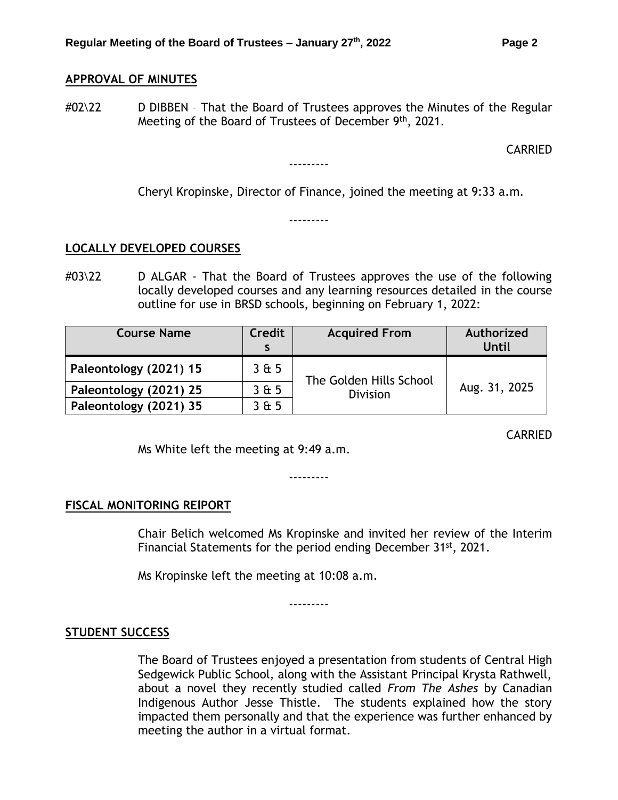# <span id="page-1-0"></span>**APPROVAL OF MINUTES**

#02\22 D DIBBEN - That the Board of Trustees approves the Minutes of the Regular Meeting of the Board of Trustees of December 9<sup>th</sup>, 2021.

---------

#### CARRIED

Cheryl Kropinske, Director of Finance, joined the meeting at 9:33 a.m.

---------

#### <span id="page-1-1"></span>**LOCALLY DEVELOPED COURSES**

#03\22 D ALGAR - That the Board of Trustees approves the use of the following locally developed courses and any learning resources detailed in the course outline for use in BRSD schools, beginning on February 1, 2022:

| <b>Course Name</b>     | <b>Credit</b> | <b>Acquired From</b>                       | Authorized<br><b>Until</b> |
|------------------------|---------------|--------------------------------------------|----------------------------|
| Paleontology (2021) 15 | 3& 5          | The Golden Hills School<br><b>Division</b> | Aug. 31, 2025              |
| Paleontology (2021) 25 | 3 & 5         |                                            |                            |
| Paleontology (2021) 35 | 365           |                                            |                            |

CARRIED

Ms White left the meeting at 9:49 a.m.

---------

#### <span id="page-1-2"></span>**FISCAL MONITORING RElPORT**

Chair Belich welcomed Ms Kropinske and invited her review of the Interim Financial Statements for the period ending December 31st, 2021.

Ms Kropinske left the meeting at 10:08 a.m.

---------

## <span id="page-1-3"></span>**STUDENT SUCCESS**

The Board of Trustees enjoyed a presentation from students of Central High Sedgewick Public School, along with the Assistant Principal Krysta Rathwell, about a novel they recently studied called *From The Ashes* by Canadian Indigenous Author Jesse Thistle. The students explained how the story impacted them personally and that the experience was further enhanced by meeting the author in a virtual format.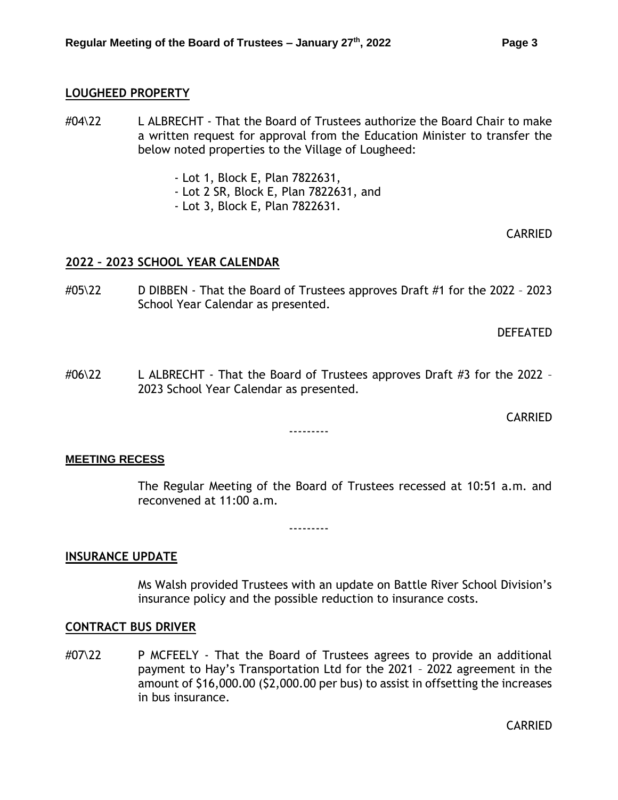#### <span id="page-2-0"></span>**LOUGHEED PROPERTY**

- #04\22 L ALBRECHT That the Board of Trustees authorize the Board Chair to make a written request for approval from the Education Minister to transfer the below noted properties to the Village of Lougheed:
	- Lot 1, Block E, Plan 7822631,
	- Lot 2 SR, Block E, Plan 7822631, and
	- Lot 3, Block E, Plan 7822631.

CARRIED

## <span id="page-2-1"></span>**2022 – 2023 SCHOOL YEAR CALENDAR**

#05\22 D DIBBEN - That the Board of Trustees approves Draft #1 for the 2022 – 2023 School Year Calendar as presented.

DEFEATED

#06\22 L ALBRECHT - That the Board of Trustees approves Draft #3 for the 2022 – 2023 School Year Calendar as presented.

---------

CARRIED

#### **MEETING RECESS**

The Regular Meeting of the Board of Trustees recessed at 10:51 a.m. and reconvened at 11:00 a.m.

---------

#### <span id="page-2-2"></span>**INSURANCE UPDATE**

Ms Walsh provided Trustees with an update on Battle River School Division's insurance policy and the possible reduction to insurance costs.

#### <span id="page-2-3"></span>**CONTRACT BUS DRIVER**

#07\22 P MCFEELY - That the Board of Trustees agrees to provide an additional payment to Hay's Transportation Ltd for the 2021 – 2022 agreement in the amount of \$16,000.00 (\$2,000.00 per bus) to assist in offsetting the increases in bus insurance.

CARRIED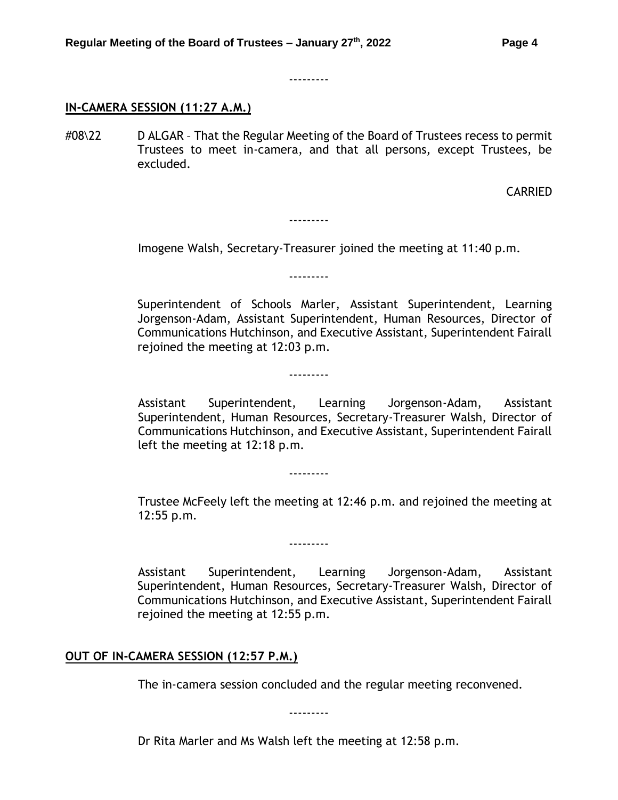---------

## **IN-CAMERA SESSION (11:27 A.M.)**

#08\22 D ALGAR – That the Regular Meeting of the Board of Trustees recess to permit Trustees to meet in-camera, and that all persons, except Trustees, be excluded.

CARRIED

Imogene Walsh, Secretary-Treasurer joined the meeting at 11:40 p.m.

---------

---------

---------

---------

---------

Superintendent of Schools Marler, Assistant Superintendent, Learning Jorgenson-Adam, Assistant Superintendent, Human Resources, Director of Communications Hutchinson, and Executive Assistant, Superintendent Fairall rejoined the meeting at 12:03 p.m.

Assistant Superintendent, Learning Jorgenson-Adam, Assistant Superintendent, Human Resources, Secretary-Treasurer Walsh, Director of Communications Hutchinson, and Executive Assistant, Superintendent Fairall left the meeting at 12:18 p.m.

Trustee McFeely left the meeting at 12:46 p.m. and rejoined the meeting at 12:55 p.m.

Assistant Superintendent, Learning Jorgenson-Adam, Assistant Superintendent, Human Resources, Secretary-Treasurer Walsh, Director of Communications Hutchinson, and Executive Assistant, Superintendent Fairall

## **OUT OF IN-CAMERA SESSION (12:57 P.M.)**

rejoined the meeting at 12:55 p.m.

The in-camera session concluded and the regular meeting reconvened.

---------

Dr Rita Marler and Ms Walsh left the meeting at 12:58 p.m.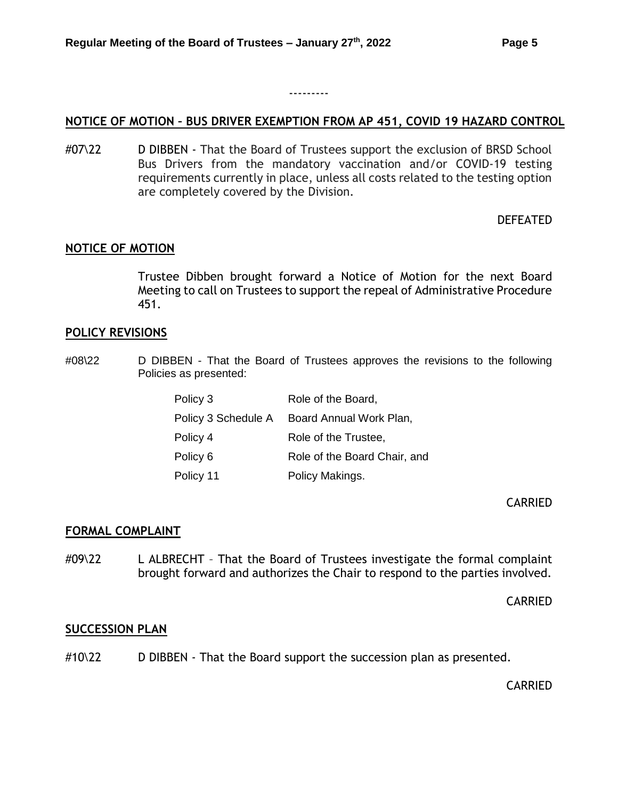## <span id="page-4-0"></span>**NOTICE OF MOTION – BUS DRIVER EXEMPTION FROM AP 451, COVID 19 HAZARD CONTROL**

---------

#07\22 D DIBBEN - That the Board of Trustees support the exclusion of BRSD School Bus Drivers from the mandatory vaccination and/or COVID-19 testing requirements currently in place, unless all costs related to the testing option are completely covered by the Division.

#### DEFEATED

#### <span id="page-4-1"></span>**NOTICE OF MOTION**

Trustee Dibben brought forward a Notice of Motion for the next Board Meeting to call on Trustees to support the repeal of Administrative Procedure 451.

#### <span id="page-4-2"></span>**POLICY REVISIONS**

#08\22 D DIBBEN - That the Board of Trustees approves the revisions to the following Policies as presented:

| Policy 3            | Role of the Board,           |
|---------------------|------------------------------|
| Policy 3 Schedule A | Board Annual Work Plan,      |
| Policy 4            | Role of the Trustee,         |
| Policy 6            | Role of the Board Chair, and |
| Policy 11           | Policy Makings.              |

CARRIED

#### <span id="page-4-3"></span>**FORMAL COMPLAINT**

#09\22 L ALBRECHT - That the Board of Trustees investigate the formal complaint brought forward and authorizes the Chair to respond to the parties involved.

CARRIED

#### <span id="page-4-4"></span>**SUCCESSION PLAN**

#10\22 D DIBBEN - That the Board support the succession plan as presented.

CARRIED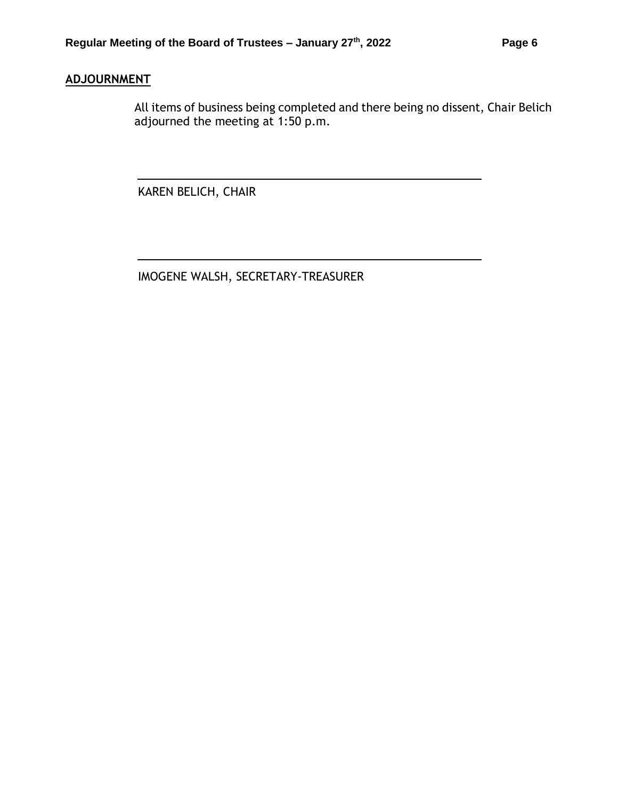# **ADJOURNMENT**

All items of business being completed and there being no dissent, Chair Belich adjourned the meeting at 1:50 p.m.

KAREN BELICH, CHAIR

IMOGENE WALSH, SECRETARY-TREASURER